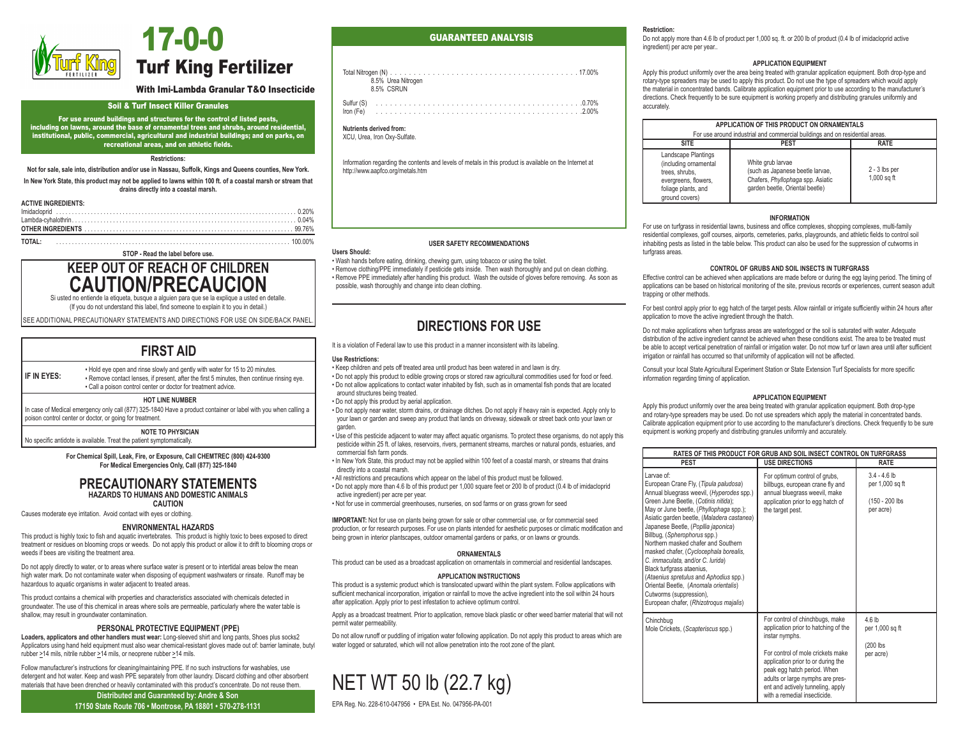

# With Imi-Lambda Granular T&O Insecticide

#### Soil & Turf Insect Killer Granules

For use around buildings and structures for the control of listed pests, including on lawns, around the base of ornamental trees and shrubs, around residential, institutional, public, commercial, agricultural and industrial buildings; and on parks, on recreational areas, and on athletic fields.

## **Restrictions:**

**Not for sale, sale into, distribution and/or use in Nassau, Suffolk, Kings and Queens counties, New York. In New York State, this product may not be applied to lawns within 100 ft. of a coastal marsh or stream that drains directly into a coastal marsh.**

| <b>ACTIVE INGREDIENTS:</b> |  |
|----------------------------|--|
|                            |  |
|                            |  |

| TOTAL: |  |  |  |  |  |  |  |  |  |
|--------|--|--|--|--|--|--|--|--|--|

**STOP - Read the label before use.**

# **KEEP OUT OF REACH OF CHILDREN CAUTION/PRECAUCION**

Si usted no entiende la etiqueta, busque a alguien para que se la explique a usted en detalle. (If you do not understand this label, find someone to explain it to you in detail.)

SEE ADDITIONAL PRECAUTIONARY STATEMENTS AND DIRECTIONS FOR USE ON SIDE/BACK PANEL.

# **FIRST AID**

▪ Hold eye open and rinse slowly and gently with water for 15 to 20 minutes. . Remove contact lenses, if present, after the first 5 minutes, then continue rinsing eye. ▪ Call a poison control center or doctor for treatment advice. **IF IN EYES:**

### **HOT LINE NUMBER**

In case of Medical emergency only call (877) 325-1840 Have a product container or label with you when calling a poison control center or doctor, or going for treatment.

**NOTE TO PHYSICIAN**  No specific antidote is available. Treat the patient symptomatically.

> **For Chemical Spill, Leak, Fire, or Exposure, Call CHEMTREC (800) 424-9300 For Medical Emergencies Only, Call (877) 325-1840**

# **PRECAUTIONARY STATEMENTS HAZARDS TO HUMANS AND DOMESTIC ANIMALS**

**CAUTION** 

Causes moderate eye irritation. Avoid contact with eyes or clothing.

#### **ENVIRONMENTAL HAZARDS**

This product is highly toxic to fish and aquatic invertebrates. This product is highly toxic to bees exposed to direct treatment or residues on blooming crops or weeds. Do not apply this product or allow it to drift to blooming crops or weeds if bees are visiting the treatment area.

Do not apply directly to water, or to areas where surface water is present or to intertidal areas below the mean high water mark. Do not contaminate water when disposing of equipment washwaters or rinsate. Runoff may be hazardous to aquatic organisms in water adjacent to treated areas.

This product contains a chemical with properties and characteristics associated with chemicals detected in groundwater. The use of this chemical in areas where soils are permeable, particularly where the water table is shallow, may result in groundwater contamination.

#### **PERSONAL PROTECTIVE EQUIPMENT (PPE)**

**Loaders, applicators and other handlers must wear:** Long-sleeved shirt and long pants, Shoes plus socks2 Applicators using hand held equipment must also wear chemical-resistant gloves made out of: barrier laminate, butyl rubber >14 mils, nitrile rubber >14 mils, or neoprene rubber >14 mils.

Follow manufacturer's instructions for cleaning/maintaining PPE. If no such instructions for washables, use detergent and hot water. Keep and wash PPE separately from other laundry. Discard clothing and other absorbent materials that have been drenched or heavily contaminated with this product's concentrate. Do not reuse them.

> **Distributed and Guaranteed by: Andre & Son 17150 State Route 706 • Montrose, PA 18801 • 570-278-1131**

# GUARANTEED ANALYSIS

| 8.5% Urea Nitrogen<br>8.5% CSRUN |  |
|----------------------------------|--|
|                                  |  |

Iron (Fe) . . . . . . . . . . . . . . . . . . . . . . . . . . . . . . . . . . . . . . . . . . . .2.00%

**Nutrients derived from:** XCU, Urea, Iron Oxy-Sulfate.

Information regarding the contents and levels of metals in this product is available on the Internet at http://www.aapfco.org/metals.htm

#### **USER SAFETY RECOMMENDATIONS**

#### **Users Should:**

• Wash hands before eating, drinking, chewing gum, using tobacco or using the toilet. • Remove clothing/PPE immediately if pesticide gets inside. Then wash thoroughly and put on clean clothing. • Remove PPE immediately after handling this product. Wash the outside of gloves before removing. As soon as possible, wash thoroughly and change into clean clothing.

# **DIRECTIONS FOR USE**

It is a violation of Federal law to use this product in a manner inconsistent with its labeling.

#### **Use Restrictions:**

• Keep children and pets off treated area until product has been watered in and lawn is dry.

• Do not apply this product to edible growing crops or stored raw agricultural commodities used for food or feed. • Do not allow applications to contact water inhabited by fish, such as in ornamental fish ponds that are located around structures being treated.

• Do not apply this product by aerial application.

• Do not apply near water, storm drains, or drainage ditches. Do not apply if heavy rain is expected. Apply only to your lawn or garden and sweep any product that lands on driveway, sidewalk or street back onto your lawn or garden.

• Use of this pesticide adjacent to water may affect aquatic organisms. To protect these organisms, do not apply this pesticide within 25 ft. of lakes, reservoirs, rivers, permanent streams, marches or natural ponds, estuaries, and commercial fish farm ponds.

• In New York State, this product may not be applied within 100 feet of a coastal marsh, or streams that drains directly into a coastal marsh.

• All restrictions and precautions which appear on the label of this product must be followed. • Do not apply more than 4.6 lb of this product per 1,000 square feet or 200 lb of product (0.4 lb of imidacloprid active ingredient) per acre per year.

• Not for use in commercial greenhouses, nurseries, on sod farms or on grass grown for seed

**IMPORTANT:** Not for use on plants being grown for sale or other commercial use, or for commercial seed production, or for research purposes. For use on plants intended for aesthetic purposes or climatic modification and being grown in interior plantscapes, outdoor ornamental gardens or parks, or on lawns or grounds.

## **ORNAMENTALS**

This product can be used as a broadcast application on ornamentals in commercial and residential landscapes.

#### **APPLICATION INSTRUCTIONS**

This product is a systemic product which is translocated upward within the plant system. Follow applications with sufficient mechanical incorporation, irrigation or rainfall to move the active ingredient into the soil within 24 hours after application. Apply prior to pest infestation to achieve optimum control.

Apply as a broadcast treatment. Prior to application, remove black plastic or other weed barrier material that will not permit water permeability.

Do not allow runoff or puddling of irrigation water following application. Do not apply this product to areas which are water logged or saturated, which will not allow penetration into the root zone of the plant.

# NET WT 50 lb (22.7 kg)

EPA Reg. No. 228-610-047956 • EPA Est. No. 047956-PA-001

# **Restriction:**

Do not apply more than 4.6 lb of product per 1,000 sq. ft. or 200 lb of product (0.4 lb of imidacloprid active ingredient) per acre per year..

#### **APPLICATION EQUIPMENT**

Apply this product uniformly over the area being treated with granular application equipment. Both drop-type and rotary-type spreaders may be used to apply this product. Do not use the type of spreaders which would apply the material in concentrated bands. Calibrate application equipment prior to use according to the manufacturer's directions. Check frequently to be sure equipment is working properly and distributing granules uniformly and accurately.

| APPLICATION OF THIS PRODUCT ON ORNAMENTALS<br>For use around industrial and commercial buildings and on residential areas.      |                                                                                                                               |                                  |  |  |  |  |
|---------------------------------------------------------------------------------------------------------------------------------|-------------------------------------------------------------------------------------------------------------------------------|----------------------------------|--|--|--|--|
| <b>SITE</b><br><b>PEST</b><br><b>RATE</b>                                                                                       |                                                                                                                               |                                  |  |  |  |  |
| Landscape Plantings<br>(including ornamental<br>trees, shrubs.<br>evergreens, flowers,<br>foliage plants, and<br>around covers) | White grub larvae<br>(such as Japanese beetle larvae,<br>Chafers, Phyllophaga spp. Asiatic<br>garden beetle, Oriental beetle) | $2 - 3$ lbs per<br>$1.000$ sa ft |  |  |  |  |

#### **INFORMATION**

For use on turfgrass in residential lawns, business and office complexes, shopping complexes, multi-family residential complexes, golf courses, airports, cemeteries, parks, playgrounds, and athletic fields to control soil inhabiting pests as listed in the table below. This product can also be used for the suppression of cutworms in turfgrass areas.

#### **CONTROL OF GRUBS AND SOIL INSECTS IN TURFGRASS**

Effective control can be achieved when applications are made before or during the egg laying period. The timing of applications can be based on historical monitoring of the site, previous records or experiences, current season adult trapping or other methods.

For best control apply prior to egg hatch of the target pests. Allow rainfall or irrigate sufficiently within 24 hours after application to move the active ingredient through the thatch.

Do not make applications when turfgrass areas are waterlogged or the soil is saturated with water. Adequate distribution of the active ingredient cannot be achieved when these conditions exist. The area to be treated must be able to accept vertical penetration of rainfall or irrigation water. Do not mow turf or lawn area until after sufficient irrigation or rainfall has occurred so that uniformity of application will not be affected.

Consult your local State Agricultural Experiment Station or State Extension Turf Specialists for more specific information regarding timing of application.

#### **APPLICATION EQUIPMENT**

Apply this product uniformly over the area being treated with granular application equipment. Both drop-type and rotary-type spreaders may be used. Do not use spreaders which apply the material in concentrated bands. Calibrate application equipment prior to use according to the manufacturer's directions. Check frequently to be sure equipment is working properly and distributing granules uniformly and accurately.

| RATES OF THIS PRODUCT FOR GRUB AND SOIL INSECT CONTROL ON TURFGRASS                                                                                                                                                                                                                                                                                                                                                                                                                                                                                                                                                |                                                                                                                                                                                                                                                                                                              |                                                                   |  |  |  |
|--------------------------------------------------------------------------------------------------------------------------------------------------------------------------------------------------------------------------------------------------------------------------------------------------------------------------------------------------------------------------------------------------------------------------------------------------------------------------------------------------------------------------------------------------------------------------------------------------------------------|--------------------------------------------------------------------------------------------------------------------------------------------------------------------------------------------------------------------------------------------------------------------------------------------------------------|-------------------------------------------------------------------|--|--|--|
| <b>PEST</b>                                                                                                                                                                                                                                                                                                                                                                                                                                                                                                                                                                                                        | <b>USE DIRECTIONS</b>                                                                                                                                                                                                                                                                                        | <b>RATE</b>                                                       |  |  |  |
| Larvae of:<br>European Crane Fly, (Tipula paludosa)<br>Annual bluegrass weevil, (Hyperodes spp.)<br>Green June Beetle, (Cotinis nitida);<br>May or June beetle, (Phyllophaga spp.);<br>Asiatic garden beetle, (Maladera castanea)<br>Japanese Beetle, (Popllia japonica)<br>Billbug, (Spherophorus spp.)<br>Northern masked chafer and Southern<br>masked chafer, (Cyclocephala borealis,<br>C. immaculata, and/or C. lurida)<br>Black turfgrass ataenius,<br>(Ataenius spretulus and Aphodius spp.)<br>Oriental Beetle, (Anomala orientalis)<br>Cutworms (suppression),<br>European chafer, (Rhizotroqus majalis) | For optimum control of grubs,<br>billbugs, european crane fly and<br>annual bluegrass weevil, make<br>application prior to egg hatch of<br>the target pest.                                                                                                                                                  | $3.4 - 4.6$ lb<br>per 1,000 sq ft<br>(150 - 200 lbs)<br>per acre) |  |  |  |
| Chinchbug<br>Mole Crickets, (Scapteriscus spp.)                                                                                                                                                                                                                                                                                                                                                                                                                                                                                                                                                                    | For control of chinchbugs, make<br>application prior to hatching of the<br>instar nymphs.<br>For control of mole crickets make<br>application prior to or during the<br>peak egg hatch period. When<br>adults or large nymphs are pres-<br>ent and actively tunneling, apply<br>with a remedial insecticide. | 46lh<br>per 1,000 sq ft<br>(200 lbs)<br>per acre)                 |  |  |  |